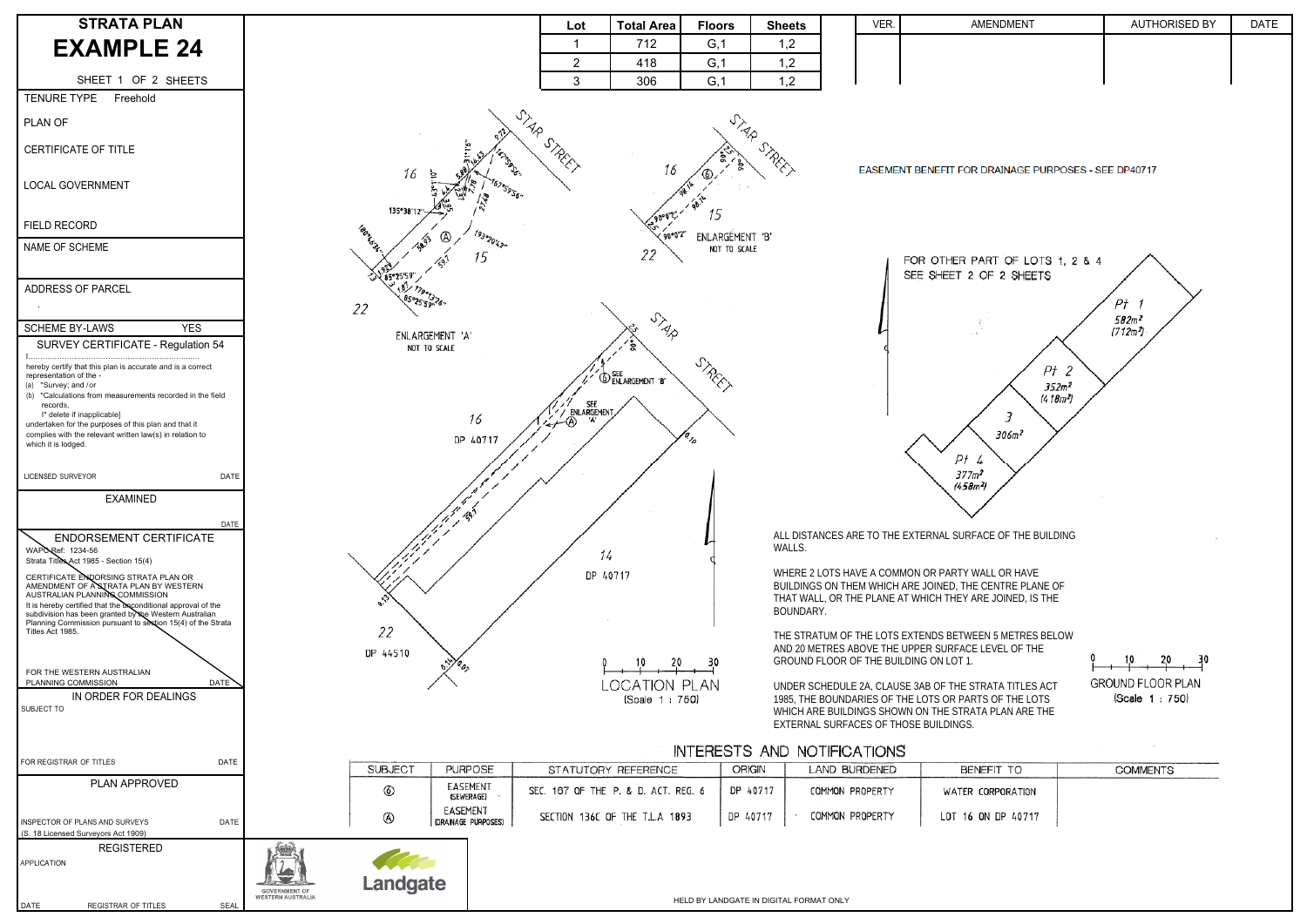| <b>STRATA PLAN</b>                                                                                                                                                    |                                                                                                                     |                                                                                                                                                                                                                                 | Lot                                 | <b>Total Area</b>              | <b>Floors</b>                           | <b>Sheets</b> |                 | VER. | AMENDMENT                                                                                                                                              | <b>AUTHORISED BY</b>                      | <b>DATE</b> |
|-----------------------------------------------------------------------------------------------------------------------------------------------------------------------|---------------------------------------------------------------------------------------------------------------------|---------------------------------------------------------------------------------------------------------------------------------------------------------------------------------------------------------------------------------|-------------------------------------|--------------------------------|-----------------------------------------|---------------|-----------------|------|--------------------------------------------------------------------------------------------------------------------------------------------------------|-------------------------------------------|-------------|
| <b>EXAMPLE 24</b>                                                                                                                                                     |                                                                                                                     |                                                                                                                                                                                                                                 |                                     | 712                            | G, 1                                    | 1,2           |                 |      |                                                                                                                                                        |                                           |             |
|                                                                                                                                                                       |                                                                                                                     |                                                                                                                                                                                                                                 | $\overline{2}$                      | 418                            | G, 1                                    | 1,2           |                 |      |                                                                                                                                                        |                                           |             |
| SHEET 1 OF 2 SHEETS<br><b>TENURE TYPE</b><br>Freehold                                                                                                                 |                                                                                                                     |                                                                                                                                                                                                                                 | 3                                   | 306                            | G, 1                                    | 1,2           |                 |      |                                                                                                                                                        |                                           |             |
| PLAN OF                                                                                                                                                               |                                                                                                                     |                                                                                                                                                                                                                                 | $\frac{1}{\sqrt{2}}$                |                                | <b>UTA</b>                              |               |                 |      |                                                                                                                                                        |                                           |             |
| CERTIFICATE OF TITLE                                                                                                                                                  |                                                                                                                     |                                                                                                                                                                                                                                 | REF.                                | 16                             |                                         | S. Ricci      |                 |      | EASEMENT BENEFIT FOR DRAINAGE PURPOSES - SEE DP40717                                                                                                   |                                           |             |
| <b>LOCAL GOVERNMENT</b>                                                                                                                                               |                                                                                                                     | 16                                                                                                                                                                                                                              |                                     |                                |                                         |               |                 |      |                                                                                                                                                        |                                           |             |
| FIELD RECORD                                                                                                                                                          |                                                                                                                     | 135°38'12                                                                                                                                                                                                                       |                                     | '90°0'2"                       |                                         |               |                 |      |                                                                                                                                                        |                                           |             |
| NAME OF SCHEME                                                                                                                                                        |                                                                                                                     | 193020'42.<br><br>$\sqrt{3}$<br>15                                                                                                                                                                                              |                                     | 22                             | ENLARGEMENT 'B'<br>NOT TO SCALE         |               |                 |      | FOR OTHER PART OF LOTS 1, 2 & 4                                                                                                                        |                                           |             |
| ADDRESS OF PARCEL                                                                                                                                                     |                                                                                                                     | <b>JU 85°25'59"</b><br>6502559.26.<br>22                                                                                                                                                                                        |                                     |                                |                                         |               |                 |      | SEE SHEET 2 OF 2 SHEETS                                                                                                                                | Pt                                        |             |
| <b>SCHEME BY-LAWS</b><br><b>YES</b>                                                                                                                                   |                                                                                                                     |                                                                                                                                                                                                                                 |                                     | STAR                           |                                         |               |                 |      |                                                                                                                                                        | 582m <sup>2</sup><br>(712m <sup>2</sup> ) |             |
| SURVEY CERTIFICATE - Regulation 54                                                                                                                                    |                                                                                                                     | ENLARGEMENT 'A'<br>NOT TO SCALE                                                                                                                                                                                                 |                                     |                                |                                         |               |                 |      |                                                                                                                                                        |                                           |             |
| hereby certify that this plan is accurate and is a correct<br>representation of the -<br>(a) *Survey; and /or                                                         |                                                                                                                     |                                                                                                                                                                                                                                 |                                     | <b>O SEE</b> ENLARGEMENT 'B'   | STREET                                  |               |                 |      | $Pt$ 2<br>352 <sup>2</sup>                                                                                                                             |                                           |             |
| (b) *Calculations from measurements recorded in the field<br>records,                                                                                                 |                                                                                                                     |                                                                                                                                                                                                                                 | // SEE<br>/ ENLARGEMENT             |                                |                                         |               |                 |      | (418m <sup>2</sup> )                                                                                                                                   |                                           |             |
| I* delete if inapplicable]<br>undertaken for the purposes of this plan and that it<br>complies with the relevant written law(s) in relation to<br>which it is lodged. |                                                                                                                     | 16<br>DP 40717                                                                                                                                                                                                                  | ∸®                                  |                                |                                         |               |                 |      | 306m <sup>2</sup>                                                                                                                                      |                                           |             |
| LICENSED SURVEYOR<br>DATE                                                                                                                                             |                                                                                                                     |                                                                                                                                                                                                                                 |                                     |                                |                                         |               |                 |      | Ρł<br>4<br>$377m^2$<br>(458 <sup>2</sup> )                                                                                                             |                                           |             |
| <b>EXAMINED</b>                                                                                                                                                       |                                                                                                                     |                                                                                                                                                                                                                                 |                                     |                                |                                         |               |                 |      |                                                                                                                                                        |                                           |             |
| DATE<br><b>ENDORSEMENT CERTIFICATE</b><br>WAPO Ref: 1234-56                                                                                                           |                                                                                                                     | de la década de la década de la década de la década de la década de la década de la década de la década de la<br>Legada de la década de la década de la década de la década de la década de la década de la década de la década | 14                                  |                                |                                         | WALLS.        |                 |      | ALL DISTANCES ARE TO THE EXTERNAL SURFACE OF THE BUILDING                                                                                              |                                           |             |
| Strata Titles Act 1985 - Section 15(4)<br>CERTIFICATE ENDORSING STRATA PLAN OR<br>AMENDMENT OF ASTRATA PLAN BY WESTERN                                                |                                                                                                                     |                                                                                                                                                                                                                                 |                                     | DP 40717                       |                                         |               |                 |      | WHERE 2 LOTS HAVE A COMMON OR PARTY WALL OR HAVE                                                                                                       |                                           |             |
| AUSTRALIAN PLANNING COMMISSION<br>It is hereby certified that the unconditional approval of the<br>subdivision has been granted by the Western Australian             |                                                                                                                     |                                                                                                                                                                                                                                 |                                     |                                |                                         | BOUNDARY.     |                 |      | BUILDINGS ON THEM WHICH ARE JOINED, THE CENTRE PLANE OF<br>THAT WALL, OR THE PLANE AT WHICH THEY ARE JOINED, IS THE                                    |                                           |             |
| Planning Commission pursuant to section 15(4) of the Strata<br>Titles Act 1985.                                                                                       |                                                                                                                     | 22                                                                                                                                                                                                                              |                                     |                                |                                         |               |                 |      | THE STRATUM OF THE LOTS EXTENDS BETWEEN 5 METRES BELOW                                                                                                 |                                           |             |
|                                                                                                                                                                       |                                                                                                                     | DP 44510                                                                                                                                                                                                                        |                                     | $\frac{10}{10}$ 20 30          |                                         |               |                 |      | AND 20 METRES ABOVE THE UPPER SURFACE LEVEL OF THE<br>GROUND FLOOR OF THE BUILDING ON LOT 1.                                                           |                                           |             |
| FOR THE WESTERN AUSTRALIAN<br>PLANNING COMMISSION<br>DATE                                                                                                             |                                                                                                                     |                                                                                                                                                                                                                                 |                                     | LOCATION PLAN                  |                                         |               |                 |      | UNDER SCHEDULE 2A, CLAUSE 3AB OF THE STRATA TITLES ACT                                                                                                 | <b>GROUND FLOOR PLAN</b>                  |             |
| IN ORDER FOR DEALINGS<br>SUBJECT TO                                                                                                                                   |                                                                                                                     |                                                                                                                                                                                                                                 |                                     | (Scale 1:750)                  |                                         |               |                 |      | 1985, THE BOUNDARIES OF THE LOTS OR PARTS OF THE LOTS<br>WHICH ARE BUILDINGS SHOWN ON THE STRATA PLAN ARE THE<br>EXTERNAL SURFACES OF THOSE BUILDINGS. | (Scale 1:750)                             |             |
|                                                                                                                                                                       | <b>INTERESTS AND NOTIFICATIONS</b>                                                                                  |                                                                                                                                                                                                                                 |                                     |                                |                                         |               |                 |      |                                                                                                                                                        |                                           |             |
| FOR REGISTRAR OF TITLES<br>DATE                                                                                                                                       | SUBJECT<br><b>PURPOSE</b><br><b>ORIGIN</b><br><b>LAND BURDENED</b><br>STATUTORY REFERENCE<br>BENEFIT TO<br>COMMENTS |                                                                                                                                                                                                                                 |                                     |                                |                                         |               |                 |      |                                                                                                                                                        |                                           |             |
| PLAN APPROVED                                                                                                                                                         |                                                                                                                     | EASEMENT<br>(SEWERAGE)                                                                                                                                                                                                          | SEC. 167 OF THE P. & D. ACT. REG. 6 |                                |                                         | DP 40717      | COMMON PROPERTY |      | WATER CORPORATION                                                                                                                                      |                                           |             |
| INSPECTOR OF PLANS AND SURVEYS<br><b>DATE</b><br>(S. 18 Licensed Surveyors Act 1909)                                                                                  |                                                                                                                     | EASEMENT<br>⊛<br>(DRAINAGE PURPOSES)                                                                                                                                                                                            |                                     | SECTION 136C OF THE T.L.A 1893 | DP 40717                                |               | COMMON PROPERTY |      | LOT 16 ON DP 40717                                                                                                                                     |                                           |             |
| <b>REGISTERED</b><br><b>APPLICATION</b>                                                                                                                               | Ň.<br><b>GOVERNMENT OF</b><br><b>WESTERN AUSTRALIA</b>                                                              | <b>Landgate</b>                                                                                                                                                                                                                 |                                     |                                | HELD BY LANDGATE IN DIGITAL FORMAT ONLY |               |                 |      |                                                                                                                                                        |                                           |             |
| DATE<br>REGISTRAR OF TITLES<br>SEAL                                                                                                                                   |                                                                                                                     |                                                                                                                                                                                                                                 |                                     |                                |                                         |               |                 |      |                                                                                                                                                        |                                           |             |